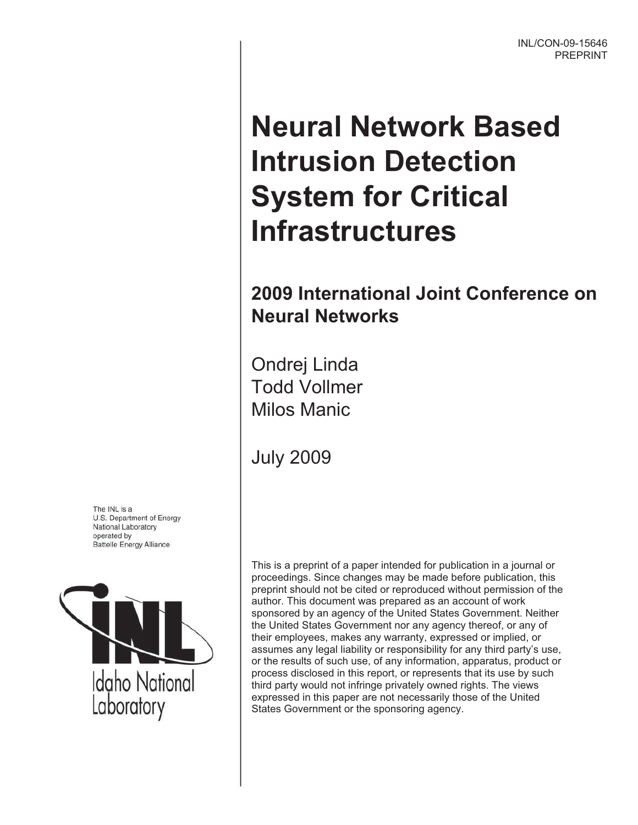# **Neural Network Based Intrusion Detection System for Critical Infrastructures**

### **2009 International Joint Conference on Neural Networks**

Ondrej Linda Todd Vollmer Milos Manic

July 2009

This is a preprint of a paper intended for publication in a journal or proceedings. Since changes may be made before publication, this preprint should not be cited or reproduced without permission of the author. This document was prepared as an account of work sponsored by an agency of the United States Government. Neither the United States Government nor any agency thereof, or any of their employees, makes any warranty, expressed or implied, or assumes any legal liability or responsibility for any third party's use, or the results of such use, of any information, apparatus, product or process disclosed in this report, or represents that its use by such third party would not infringe privately owned rights. The views expressed in this paper are not necessarily those of the United States Government or the sponsoring agency.

The INL is a U.S. Department of Energy National Laboratory operated by **Battelle Energy Alliance** 

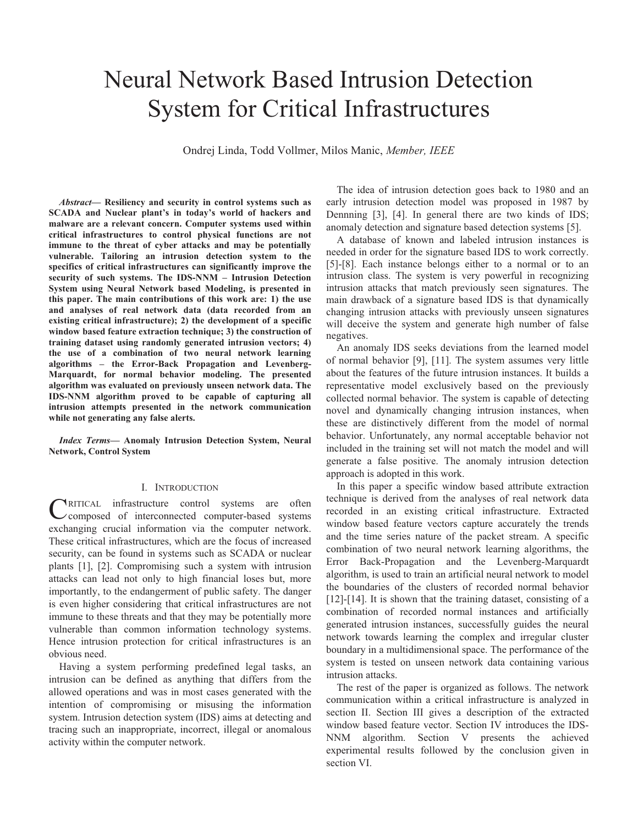## Neural Network Based Intrusion Detection System for Critical Infrastructures

Ondrej Linda, Todd Vollmer, Milos Manic, *Member, IEEE*

*Abstract***— Resiliency and security in control systems such as SCADA and Nuclear plant's in today's world of hackers and malware are a relevant concern. Computer systems used within critical infrastructures to control physical functions are not immune to the threat of cyber attacks and may be potentially vulnerable. Tailoring an intrusion detection system to the specifics of critical infrastructures can significantly improve the security of such systems. The IDS-NNM – Intrusion Detection System using Neural Network based Modeling, is presented in this paper. The main contributions of this work are: 1) the use and analyses of real network data (data recorded from an existing critical infrastructure); 2) the development of a specific window based feature extraction technique; 3) the construction of training dataset using randomly generated intrusion vectors; 4) the use of a combination of two neural network learning algorithms – the Error-Back Propagation and Levenberg-Marquardt, for normal behavior modeling. The presented algorithm was evaluated on previously unseen network data. The IDS-NNM algorithm proved to be capable of capturing all intrusion attempts presented in the network communication while not generating any false alerts.** 

*Index Terms***— Anomaly Intrusion Detection System, Neural Network, Control System** 

#### I. INTRODUCTION

RITICAL infrastructure control systems are often Ccomposed of interconnected computer-based systems exchanging crucial information via the computer network. These critical infrastructures, which are the focus of increased security, can be found in systems such as SCADA or nuclear plants [1], [2]. Compromising such a system with intrusion attacks can lead not only to high financial loses but, more importantly, to the endangerment of public safety. The danger is even higher considering that critical infrastructures are not immune to these threats and that they may be potentially more vulnerable than common information technology systems. Hence intrusion protection for critical infrastructures is an obvious need.

Having a system performing predefined legal tasks, an intrusion can be defined as anything that differs from the allowed operations and was in most cases generated with the intention of compromising or misusing the information system. Intrusion detection system (IDS) aims at detecting and tracing such an inappropriate, incorrect, illegal or anomalous activity within the computer network.

The idea of intrusion detection goes back to 1980 and an early intrusion detection model was proposed in 1987 by Dennning [3], [4]. In general there are two kinds of IDS; anomaly detection and signature based detection systems [5].

A database of known and labeled intrusion instances is needed in order for the signature based IDS to work correctly. [5]-[8]. Each instance belongs either to a normal or to an intrusion class. The system is very powerful in recognizing intrusion attacks that match previously seen signatures. The main drawback of a signature based IDS is that dynamically changing intrusion attacks with previously unseen signatures will deceive the system and generate high number of false negatives.

An anomaly IDS seeks deviations from the learned model of normal behavior [9], [11]. The system assumes very little about the features of the future intrusion instances. It builds a representative model exclusively based on the previously collected normal behavior. The system is capable of detecting novel and dynamically changing intrusion instances, when these are distinctively different from the model of normal behavior. Unfortunately, any normal acceptable behavior not included in the training set will not match the model and will generate a false positive. The anomaly intrusion detection approach is adopted in this work.

In this paper a specific window based attribute extraction technique is derived from the analyses of real network data recorded in an existing critical infrastructure. Extracted window based feature vectors capture accurately the trends and the time series nature of the packet stream. A specific combination of two neural network learning algorithms, the Error Back-Propagation and the Levenberg-Marquardt algorithm, is used to train an artificial neural network to model the boundaries of the clusters of recorded normal behavior [12]-[14]. It is shown that the training dataset, consisting of a combination of recorded normal instances and artificially generated intrusion instances, successfully guides the neural network towards learning the complex and irregular cluster boundary in a multidimensional space. The performance of the system is tested on unseen network data containing various intrusion attacks.

 The rest of the paper is organized as follows. The network communication within a critical infrastructure is analyzed in section II. Section III gives a description of the extracted window based feature vector. Section IV introduces the IDS-NNM algorithm. Section V presents the achieved experimental results followed by the conclusion given in section VI.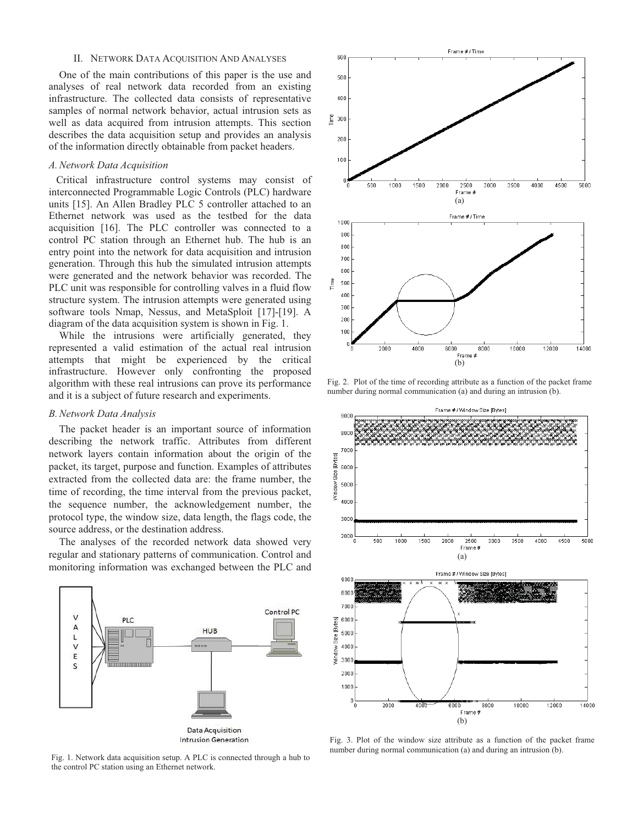#### II. NETWORK DATA ACQUISITION AND ANALYSES

One of the main contributions of this paper is the use and analyses of real network data recorded from an existing infrastructure. The collected data consists of representative samples of normal network behavior, actual intrusion sets as well as data acquired from intrusion attempts. This section describes the data acquisition setup and provides an analysis of the information directly obtainable from packet headers.

#### *A. Network Data Acquisition*

Critical infrastructure control systems may consist of interconnected Programmable Logic Controls (PLC) hardware units [15]. An Allen Bradley PLC 5 controller attached to an Ethernet network was used as the testbed for the data acquisition [16]. The PLC controller was connected to a control PC station through an Ethernet hub. The hub is an entry point into the network for data acquisition and intrusion generation. Through this hub the simulated intrusion attempts were generated and the network behavior was recorded. The PLC unit was responsible for controlling valves in a fluid flow structure system. The intrusion attempts were generated using software tools Nmap, Nessus, and MetaSploit [17]-[19]. A diagram of the data acquisition system is shown in Fig. 1.

 While the intrusions were artificially generated, they represented a valid estimation of the actual real intrusion attempts that might be experienced by the critical infrastructure. However only confronting the proposed algorithm with these real intrusions can prove its performance and it is a subject of future research and experiments.

#### *B. Network Data Analysis*

The packet header is an important source of information describing the network traffic. Attributes from different network layers contain information about the origin of the packet, its target, purpose and function. Examples of attributes extracted from the collected data are: the frame number, the time of recording, the time interval from the previous packet, the sequence number, the acknowledgement number, the protocol type, the window size, data length, the flags code, the source address, or the destination address.

The analyses of the recorded network data showed very regular and stationary patterns of communication. Control and monitoring information was exchanged between the PLC and



Fig. 1. Network data acquisition setup. A PLC is connected through a hub to the control PC station using an Ethernet network.



Fig. 2. Plot of the time of recording attribute as a function of the packet frame number during normal communication (a) and during an intrusion (b).



Fig. 3. Plot of the window size attribute as a function of the packet frame number during normal communication (a) and during an intrusion (b).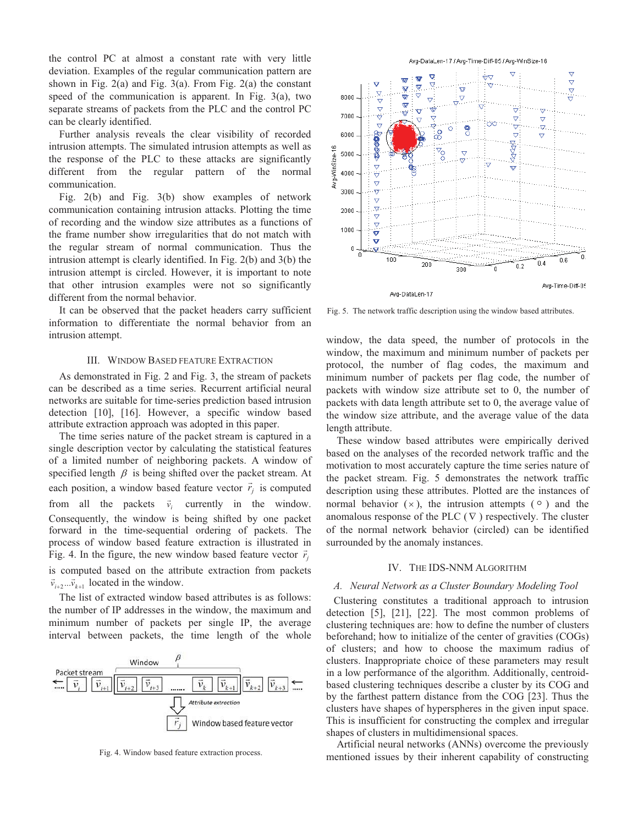the control PC at almost a constant rate with very little deviation. Examples of the regular communication pattern are shown in Fig. 2(a) and Fig. 3(a). From Fig. 2(a) the constant speed of the communication is apparent. In Fig. 3(a), two separate streams of packets from the PLC and the control PC can be clearly identified.

Further analysis reveals the clear visibility of recorded intrusion attempts. The simulated intrusion attempts as well as the response of the PLC to these attacks are significantly different from the regular pattern of the normal communication.

Fig. 2(b) and Fig. 3(b) show examples of network communication containing intrusion attacks. Plotting the time of recording and the window size attributes as a functions of the frame number show irregularities that do not match with the regular stream of normal communication. Thus the intrusion attempt is clearly identified. In Fig. 2(b) and 3(b) the intrusion attempt is circled. However, it is important to note that other intrusion examples were not so significantly different from the normal behavior.

It can be observed that the packet headers carry sufficient information to differentiate the normal behavior from an intrusion attempt.

#### III. WINDOW BASED FEATURE EXTRACTION

 As demonstrated in Fig. 2 and Fig. 3, the stream of packets can be described as a time series. Recurrent artificial neural networks are suitable for time-series prediction based intrusion detection [10], [16]. However, a specific window based attribute extraction approach was adopted in this paper.

 The time series nature of the packet stream is captured in a single description vector by calculating the statistical features of a limited number of neighboring packets. A window of specified length  $\beta$  is being shifted over the packet stream. At each position, a window based feature vector  $\vec{r}_j$  is computed from all the packets  $\vec{v}_i$  currently in the window. Consequently, the window is being shifted by one packet forward in the time-sequential ordering of packets. The process of window based feature extraction is illustrated in -Fig. 4. In the figure, the new window based feature vector  $\vec{r}_j$ is computed based on the attribute extraction from packets  $\vec{v}_{i+2}...\vec{v}_{k+1}$  located in the window.

The list of extracted window based attributes is as follows: the number of IP addresses in the window, the maximum and minimum number of packets per single IP, the average interval between packets, the time length of the whole





Fig. 5. The network traffic description using the window based attributes.

window, the data speed, the number of protocols in the window, the maximum and minimum number of packets per protocol, the number of flag codes, the maximum and minimum number of packets per flag code, the number of packets with window size attribute set to 0, the number of packets with data length attribute set to 0, the average value of the window size attribute, and the average value of the data length attribute.

These window based attributes were empirically derived based on the analyses of the recorded network traffic and the motivation to most accurately capture the time series nature of the packet stream. Fig. 5 demonstrates the network traffic description using these attributes. Plotted are the instances of normal behavior  $(x)$ , the intrusion attempts  $(0)$  and the anomalous response of the PLC  $(\nabla)$  respectively. The cluster of the normal network behavior (circled) can be identified surrounded by the anomaly instances.

#### IV. THE IDS-NNM ALGORITHM

#### *A. Neural Network as a Cluster Boundary Modeling Tool*

Clustering constitutes a traditional approach to intrusion detection [5], [21], [22]. The most common problems of clustering techniques are: how to define the number of clusters beforehand; how to initialize of the center of gravities (COGs) of clusters; and how to choose the maximum radius of clusters. Inappropriate choice of these parameters may result in a low performance of the algorithm. Additionally, centroidbased clustering techniques describe a cluster by its COG and by the farthest pattern distance from the COG [23]. Thus the clusters have shapes of hyperspheres in the given input space. This is insufficient for constructing the complex and irregular shapes of clusters in multidimensional spaces.

Artificial neural networks (ANNs) overcome the previously Fig. 4. Window based feature extraction process.<br> **Extraction** process.<br> **Extraction** process.<br> **Extraction** process.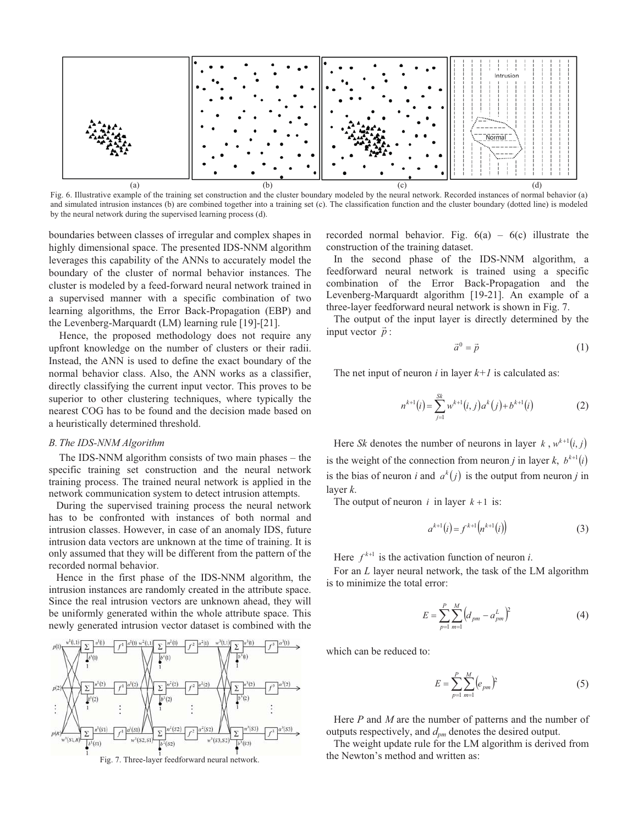

Fig. 6. Illustrative example of the training set construction and the cluster boundary modeled by the neural network. Recorded instances of normal behavior (a) and simulated intrusion instances (b) are combined together into a training set (c). The classification function and the cluster boundary (dotted line) is modeled by the neural network during the supervised learning process (d).

boundaries between classes of irregular and complex shapes in highly dimensional space. The presented IDS-NNM algorithm leverages this capability of the ANNs to accurately model the boundary of the cluster of normal behavior instances. The cluster is modeled by a feed-forward neural network trained in a supervised manner with a specific combination of two learning algorithms, the Error Back-Propagation (EBP) and the Levenberg-Marquardt (LM) learning rule [19]-[21].

Hence, the proposed methodology does not require any upfront knowledge on the number of clusters or their radii. Instead, the ANN is used to define the exact boundary of the normal behavior class. Also, the ANN works as a classifier, directly classifying the current input vector. This proves to be superior to other clustering techniques, where typically the nearest COG has to be found and the decision made based on a heuristically determined threshold.

#### *B. The IDS-NNM Algorithm*

 The IDS-NNM algorithm consists of two main phases – the specific training set construction and the neural network training process. The trained neural network is applied in the network communication system to detect intrusion attempts.

During the supervised training process the neural network has to be confronted with instances of both normal and intrusion classes. However, in case of an anomaly IDS, future intrusion data vectors are unknown at the time of training. It is only assumed that they will be different from the pattern of the recorded normal behavior.

Hence in the first phase of the IDS-NNM algorithm, the intrusion instances are randomly created in the attribute space. Since the real intrusion vectors are unknown ahead, they will be uniformly generated within the whole attribute space. This newly generated intrusion vector dataset is combined with the



Fig. 7. Three-layer feedforward neural network.

recorded normal behavior. Fig.  $6(a) - 6(c)$  illustrate the construction of the training dataset.

In the second phase of the IDS-NNM algorithm, a feedforward neural network is trained using a specific combination of the Error Back-Propagation and the Levenberg-Marquardt algorithm [19-21]. An example of a three-layer feedforward neural network is shown in Fig. 7.

The output of the input layer is directly determined by the input vector  $\vec{p}$ :  $\overline{\phantom{0}}$ 

$$
\vec{a}^0 = \vec{p} \tag{1}
$$

The net input of neuron  $i$  in layer  $k+1$  is calculated as:

$$
n^{k+1}(i) = \sum_{j=1}^{Sk} w^{k+1}(i, j)a^{k}(j) + b^{k+1}(i)
$$
 (2)

Here *Sk* denotes the number of neurons in layer *k*,  $w^{k+1}(i, j)$ is the weight of the connection from neuron *j* in layer *k*,  $b^{k+1}(i)$ is the bias of neuron *i* and  $a^{k}(i)$  is the output from neuron *j* in layer *k*.

The output of neuron *i* in layer  $k+1$  is:

$$
a^{k+1}(i) = f^{k+1}(n^{k+1}(i))
$$
\n(3)

Here  $f^{k+1}$  is the activation function of neuron *i*.

For an *L* layer neural network, the task of the LM algorithm is to minimize the total error:

$$
E = \sum_{p=1}^{P} \sum_{m=1}^{M} \left( d_{pm} - a_{pm}^{L} \right)^{2}
$$
 (4)

which can be reduced to:

$$
E = \sum_{p=1}^{P} \sum_{m=1}^{M} (e_{pm})^2
$$
 (5)

Here *P* and *M* are the number of patterns and the number of outputs respectively, and *dpm* denotes the desired output.

The weight update rule for the LM algorithm is derived from the Newton's method and written as: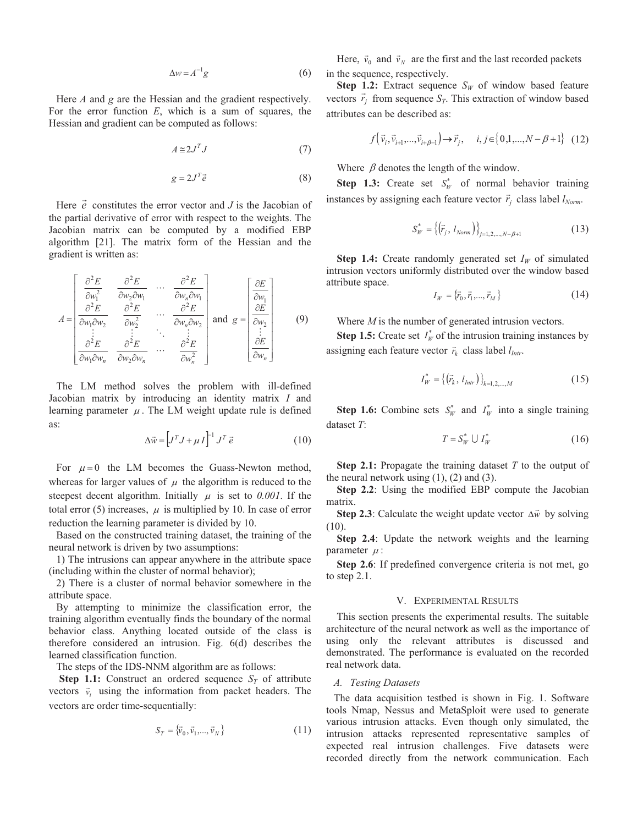$$
\Delta w = A^{-1}g\tag{6}
$$

Here *A* and *g* are the Hessian and the gradient respectively. For the error function *E*, which is a sum of squares, the Hessian and gradient can be computed as follows:

$$
A \cong 2J^T J \tag{7}
$$

$$
g = 2J^T \vec{e}
$$
 (8)

Here *e*  $\vec{e}$  constitutes the error vector and *J* is the Jacobian of the partial derivative of error with respect to the weights. The Jacobian matrix can be computed by a modified EBP algorithm [21]. The matrix form of the Hessian and the gradient is written as:

$$
A = \begin{bmatrix} \frac{\partial^2 E}{\partial w_1^2} & \frac{\partial^2 E}{\partial w_2 \partial w_1} & \cdots & \frac{\partial^2 E}{\partial w_n \partial w_1} \\ \frac{\partial^2 E}{\partial w_1 \partial w_2} & \frac{\partial^2 E}{\partial w_2^2} & \cdots & \frac{\partial^2 E}{\partial w_n \partial w_2} \\ \vdots & \vdots & \ddots & \vdots \\ \frac{\partial^2 E}{\partial w_1 \partial w_n} & \frac{\partial^2 E}{\partial w_2 \partial w_n} & \cdots & \frac{\partial^2 E}{\partial w_n^2} \end{bmatrix} \text{ and } g = \begin{bmatrix} \frac{\partial E}{\partial w_1} \\ \frac{\partial E}{\partial w_2} \\ \vdots \\ \frac{\partial E}{\partial w_n} \end{bmatrix}
$$
(9)

The LM method solves the problem with ill-defined Jacobian matrix by introducing an identity matrix *I* and learning parameter  $\mu$ . The LM weight update rule is defined as:

$$
\Delta \vec{w} = [J^T J + \mu I]^{-1} J^T \vec{e}
$$
 (10)

For  $\mu = 0$  the LM becomes the Guass-Newton method, whereas for larger values of  $\mu$  the algorithm is reduced to the steepest decent algorithm. Initially  $\mu$  is set to 0.001. If the total error (5) increases,  $\mu$  is multiplied by 10. In case of error reduction the learning parameter is divided by 10.

Based on the constructed training dataset, the training of the neural network is driven by two assumptions:

1) The intrusions can appear anywhere in the attribute space (including within the cluster of normal behavior);

2) There is a cluster of normal behavior somewhere in the attribute space.

By attempting to minimize the classification error, the training algorithm eventually finds the boundary of the normal behavior class. Anything located outside of the class is therefore considered an intrusion. Fig. 6(d) describes the learned classification function.

The steps of the IDS-NNM algorithm are as follows:

**Step 1.1:** Construct an ordered sequence  $S_T$  of attribute vectors  $\vec{v}_i$  using the information from packet headers. The vectors are order time-sequentially:

$$
S_T = {\vec{v}_0, \vec{v}_1, ..., \vec{v}_N}
$$
 (11)

Here,  $\vec{v}_0$  and  $\vec{v}_N$  are the first and the last recorded packets in the sequence, respectively.

**Step 1.2:** Extract sequence  $S_W$  of window based feature vectors  $\vec{r}_j$  from sequence  $S_T$ . This extraction of window based attributes can be described as:

$$
f(\vec{v}_i, \vec{v}_{i+1},...,\vec{v}_{i+\beta-1}) \rightarrow \vec{r}_j, \quad i, j \in \{0,1,...,N-\beta+1\}
$$
 (12)

Where  $\beta$  denotes the length of the window.

**Step 1.3:** Create set  $S_W^*$  of normal behavior training instances by assigning each feature vector  $\vec{r}_j$  class label  $l_{Norm}$ .

$$
S_W^* = \{ (\vec{r}_j, l_{Norm}) \}_{j=1,2,\dots,N-\beta+1}
$$
 (13)

**Step 1.4:** Create randomly generated set  $I_W$  of simulated intrusion vectors uniformly distributed over the window based attribute space. - --

$$
I_W = \{\vec{r}_0, \vec{r}_1, ..., \vec{r}_M\}
$$
 (14)

Where *M* is the number of generated intrusion vectors.

**Step 1.5:** Create set  $I_W^*$  of the intrusion training instances by assigning each feature vector  $\vec{r}_k$  class label  $l_{Intr}$ .

$$
I_W^* = \{ (\vec{r}_k, l_{Int}) \}_{k=1,2,\dots,M}
$$
 (15)

**Step 1.6:** Combine sets  $S_W^*$  and  $I_W^*$  into a single training dataset *T*:

$$
T = S_W^* \cup I_W^* \tag{16}
$$

**Step 2.1:** Propagate the training dataset *T* to the output of the neural network using  $(1)$ ,  $(2)$  and  $(3)$ .

**Step 2.2**: Using the modified EBP compute the Jacobian matrix.

**Step 2.3**: Calculate the weight update vector  $\Delta \vec{w}$  by solving  $(10).$ 

**Step 2.4**: Update the network weights and the learning parameter  $\mu$ :

**Step 2.6**: If predefined convergence criteria is not met, go to step 2.1.

#### V. EXPERIMENTAL RESULTS

 This section presents the experimental results. The suitable architecture of the neural network as well as the importance of using only the relevant attributes is discussed and demonstrated. The performance is evaluated on the recorded real network data.

#### *A. Testing Datasets*

The data acquisition testbed is shown in Fig. 1. Software tools Nmap, Nessus and MetaSploit were used to generate various intrusion attacks. Even though only simulated, the intrusion attacks represented representative samples of expected real intrusion challenges. Five datasets were recorded directly from the network communication. Each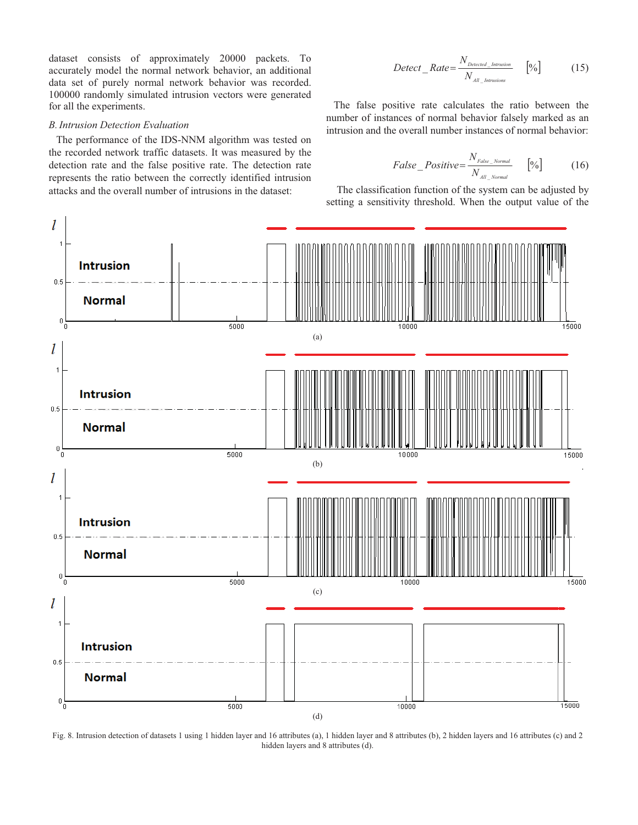dataset consists of approximately 20000 packets. To accurately model the normal network behavior, an additional data set of purely normal network behavior was recorded. 100000 randomly simulated intrusion vectors were generated for all the experiments.

#### *B. Intrusion Detection Evaluation*

The performance of the IDS-NNM algorithm was tested on the recorded network traffic datasets. It was measured by the detection rate and the false positive rate. The detection rate represents the ratio between the correctly identified intrusion attacks and the overall number of intrusions in the dataset:

$$
Detect\_Rate = \frac{N_{Detected\_Intrusion}}{N_{All\_Intrusions}} \qquad [9/0] \tag{15}
$$

The false positive rate calculates the ratio between the number of instances of normal behavior falsely marked as an intrusion and the overall number instances of normal behavior:

$$
False\_Positive = \frac{N_{False\_Normal}}{N_{All\_Normal}} \qquad [0/6]
$$
 (16)

 The classification function of the system can be adjusted by setting a sensitivity threshold. When the output value of the



Fig. 8. Intrusion detection of datasets 1 using 1 hidden layer and 16 attributes (a), 1 hidden layer and 8 attributes (b), 2 hidden layers and 16 attributes (c) and 2 hidden layers and 8 attributes (d).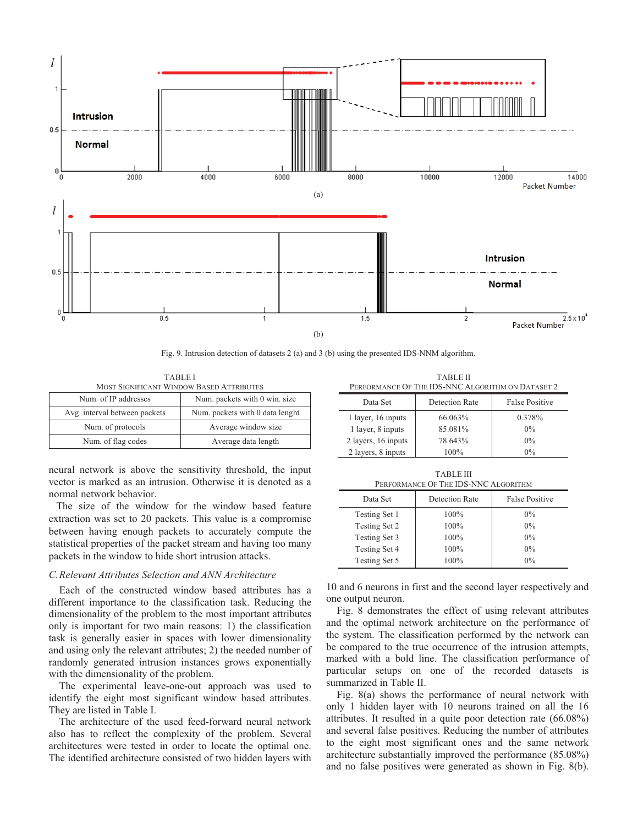

Fig. 9. Intrusion detection of datasets 2 (a) and 3 (b) using the presented IDS-NNM algorithm.

TABLE I MOST SIGNIFICANT WINDOW BASED ATTRIBUTES

| Num. of IP addresses          | Num. packets with 0 win. size   |  |
|-------------------------------|---------------------------------|--|
| Avg. interval between packets | Num. packets with 0 data lenght |  |
| Num. of protocols             | Average window size             |  |
| Num. of flag codes            | Average data length             |  |

neural network is above the sensitivity threshold, the input vector is marked as an intrusion. Otherwise it is denoted as a normal network behavior.

The size of the window for the window based feature extraction was set to 20 packets. This value is a compromise between having enough packets to accurately compute the statistical properties of the packet stream and having too many packets in the window to hide short intrusion attacks.

#### *C.Relevant Attributes Selection and ANN Architecture*

 Each of the constructed window based attributes has a different importance to the classification task. Reducing the dimensionality of the problem to the most important attributes only is important for two main reasons: 1) the classification task is generally easier in spaces with lower dimensionality and using only the relevant attributes; 2) the needed number of randomly generated intrusion instances grows exponentially with the dimensionality of the problem.

 The experimental leave-one-out approach was used to identify the eight most significant window based attributes. They are listed in Table I.

 The architecture of the used feed-forward neural network also has to reflect the complexity of the problem. Several architectures were tested in order to locate the optimal one. The identified architecture consisted of two hidden layers with

TABLE II PERFORMANCE OF THE IDS-NNC ALGORITHM ON DATASET 2

| <u>I ENI ONWANCE OI THE IDD TWNC ALGONITHIN ON DATABLI 2</u> |                |                       |
|--------------------------------------------------------------|----------------|-----------------------|
| Data Set                                                     | Detection Rate | <b>False Positive</b> |
| 1 layer, 16 inputs                                           | 66.063%        | 0.378%                |
| 1 layer, 8 inputs                                            | 85.081%        | $0\%$                 |
| 2 layers, 16 inputs                                          | 78.643%        | $0\%$                 |
| 2 layers, 8 inputs                                           | 100%           | $0\%$                 |

|               | <b>TABLE III</b><br>PERFORMANCE OF THE IDS-NNC ALGORITHM |                       |  |
|---------------|----------------------------------------------------------|-----------------------|--|
| Data Set      | <b>Detection Rate</b>                                    | <b>False Positive</b> |  |
| Testing Set 1 | 100%                                                     | $0\%$                 |  |
| Testing Set 2 | 100%                                                     | $0\%$                 |  |
| Testing Set 3 | $100\%$                                                  | $0\%$                 |  |
| Testing Set 4 | 100%                                                     | $0\%$                 |  |
| Testing Set 5 | 100%                                                     | $0\%$                 |  |

10 and 6 neurons in first and the second layer respectively and one output neuron.

 Fig. 8 demonstrates the effect of using relevant attributes and the optimal network architecture on the performance of the system. The classification performed by the network can be compared to the true occurrence of the intrusion attempts, marked with a bold line. The classification performance of particular setups on one of the recorded datasets is summarized in Table II.

 Fig. 8(a) shows the performance of neural network with only 1 hidden layer with 10 neurons trained on all the 16 attributes. It resulted in a quite poor detection rate (66.08%) and several false positives. Reducing the number of attributes to the eight most significant ones and the same network architecture substantially improved the performance (85.08%) and no false positives were generated as shown in Fig. 8(b).